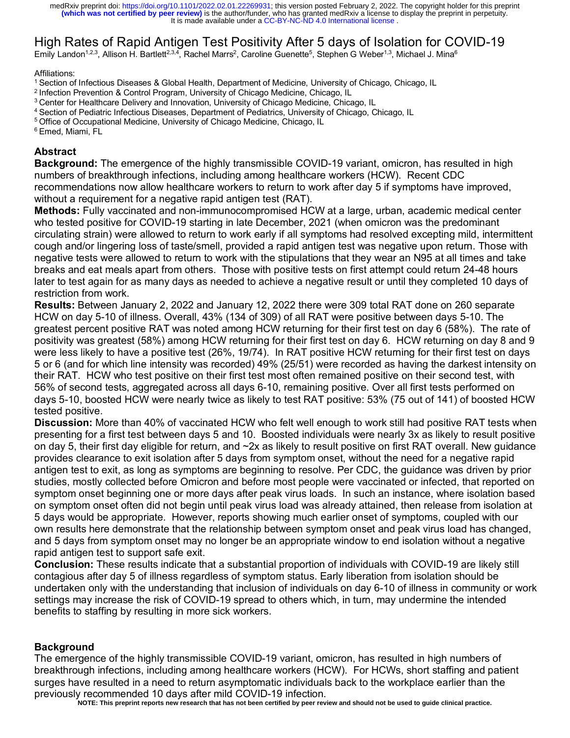# High Rates of Rapid Antigen Test Positivity After 5 days of Isolation for COVID-19

Emily Landon<sup>1,2,3</sup>, Allison H. Bartlett<sup>2,3,4</sup>, Rachel Marrs<sup>2</sup>, Caroline Guenette<sup>5</sup>, Stephen G Weber<sup>1,3</sup>, Michael J. Mina<sup>6</sup>

#### Affiliations:

1 Section of Infectious Diseases & Global Health, Department of Medicine, University of Chicago, Chicago, IL

<sup>2</sup> Infection Prevention & Control Program, University of Chicago Medicine, Chicago, IL

<sup>3</sup> Center for Healthcare Delivery and Innovation, University of Chicago Medicine, Chicago, IL

4 Section of Pediatric Infectious Diseases, Department of Pediatrics, University of Chicago, Chicago, IL

<sup>5</sup> Office of Occupational Medicine, University of Chicago Medicine, Chicago, IL

6 Emed, Miami, FL

## **Abstract**

**Background:** The emergence of the highly transmissible COVID-19 variant, omicron, has resulted in high numbers of breakthrough infections, including among healthcare workers (HCW). Recent CDC recommendations now allow healthcare workers to return to work after day 5 if symptoms have improved, without a requirement for a negative rapid antigen test (RAT).

**Methods:** Fully vaccinated and non-immunocompromised HCW at a large, urban, academic medical center who tested positive for COVID-19 starting in late December, 2021 (when omicron was the predominant circulating strain) were allowed to return to work early if all symptoms had resolved excepting mild, intermittent cough and/or lingering loss of taste/smell, provided a rapid antigen test was negative upon return. Those with negative tests were allowed to return to work with the stipulations that they wear an N95 at all times and take breaks and eat meals apart from others. Those with positive tests on first attempt could return 24-48 hours later to test again for as many days as needed to achieve a negative result or until they completed 10 days of restriction from work.

**Results:** Between January 2, 2022 and January 12, 2022 there were 309 total RAT done on 260 separate HCW on day 5-10 of illness. Overall, 43% (134 of 309) of all RAT were positive between days 5-10. The greatest percent positive RAT was noted among HCW returning for their first test on day 6 (58%). The rate of positivity was greatest (58%) among HCW returning for their first test on day 6. HCW returning on day 8 and 9 were less likely to have a positive test (26%, 19/74). In RAT positive HCW returning for their first test on days 5 or 6 (and for which line intensity was recorded) 49% (25/51) were recorded as having the darkest intensity on their RAT. HCW who test positive on their first test most often remained positive on their second test, with 56% of second tests, aggregated across all days 6-10, remaining positive. Over all first tests performed on days 5-10, boosted HCW were nearly twice as likely to test RAT positive: 53% (75 out of 141) of boosted HCW tested positive.

**Discussion:** More than 40% of vaccinated HCW who felt well enough to work still had positive RAT tests when presenting for a first test between days 5 and 10. Boosted individuals were nearly 3x as likely to result positive on day 5, their first day eligible for return, and ~2x as likely to result positive on first RAT overall. New guidance provides clearance to exit isolation after 5 days from symptom onset, without the need for a negative rapid antigen test to exit, as long as symptoms are beginning to resolve. Per CDC, the guidance was driven by prior studies, mostly collected before Omicron and before most people were vaccinated or infected, that reported on symptom onset beginning one or more days after peak virus loads. In such an instance, where isolation based on symptom onset often did not begin until peak virus load was already attained, then release from isolation at 5 days would be appropriate. However, reports showing much earlier onset of symptoms, coupled with our own results here demonstrate that the relationship between symptom onset and peak virus load has changed, and 5 days from symptom onset may no longer be an appropriate window to end isolation without a negative rapid antigen test to support safe exit.

**Conclusion:** These results indicate that a substantial proportion of individuals with COVID-19 are likely still contagious after day 5 of illness regardless of symptom status. Early liberation from isolation should be undertaken only with the understanding that inclusion of individuals on day 6-10 of illness in community or work settings may increase the risk of COVID-19 spread to others which, in turn, may undermine the intended benefits to staffing by resulting in more sick workers.

#### **Background**

The emergence of the highly transmissible COVID-19 variant, omicron, has resulted in high numbers of breakthrough infections, including among healthcare workers (HCW). For HCWs, short staffing and patient surges have resulted in a need to return asymptomatic individuals back to the workplace earlier than the previously recommended 10 days after mild COVID-19 infection.

**NOTE: This preprint reports new research that has not been certified by peer review and should not be used to guide clinical practice.**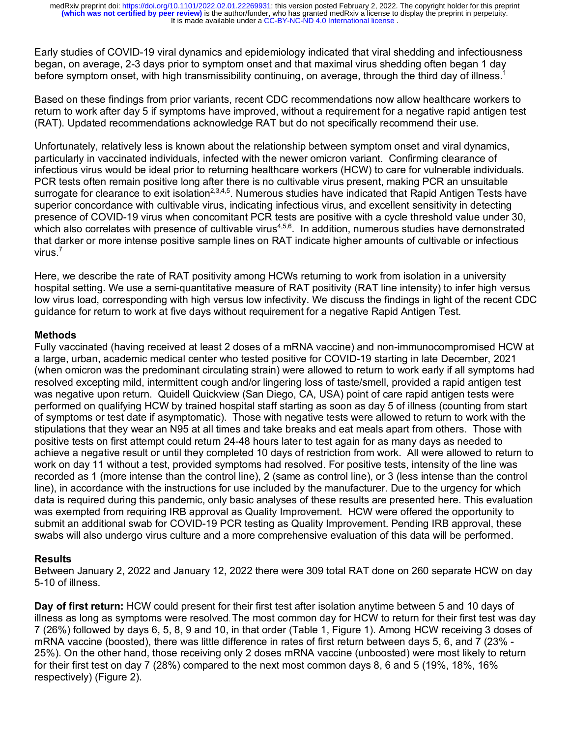Early studies of COVID-19 viral dynamics and epidemiology indicated that viral shedding and infectiousness began, on average, 2-3 days prior to symptom onset and that maximal virus shedding often began 1 day before symptom onset, with high transmissibility continuing, on average, through the third day of illness.<sup>1</sup>

Based on these findings from prior variants, recent CDC recommendations now allow healthcare workers to return to work after day 5 if symptoms have improved, without a requirement for a negative rapid antigen test (RAT). Updated recommendations acknowledge RAT but do not specifically recommend their use.

Unfortunately, relatively less is known about the relationship between symptom onset and viral dynamics, particularly in vaccinated individuals, infected with the newer omicron variant. Confirming clearance of infectious virus would be ideal prior to returning healthcare workers (HCW) to care for vulnerable individuals. PCR tests often remain positive long after there is no cultivable virus present, making PCR an unsuitable surrogate for clearance to exit isolation<sup>2,3,4,5</sup>. Numerous studies have indicated that Rapid Antigen Tests have superior concordance with cultivable virus, indicating infectious virus, and excellent sensitivity in detecting presence of COVID-19 virus when concomitant PCR tests are positive with a cycle threshold value under 30, which also correlates with presence of cultivable virus<sup>4,5,6</sup>. In addition, numerous studies have demonstrated that darker or more intense positive sample lines on RAT indicate higher amounts of cultivable or infectious virus. 7

Here, we describe the rate of RAT positivity among HCWs returning to work from isolation in a university hospital setting. We use a semi-quantitative measure of RAT positivity (RAT line intensity) to infer high versus low virus load, corresponding with high versus low infectivity. We discuss the findings in light of the recent CDC guidance for return to work at five days without requirement for a negative Rapid Antigen Test.

## **Methods**

Fully vaccinated (having received at least 2 doses of a mRNA vaccine) and non-immunocompromised HCW at a large, urban, academic medical center who tested positive for COVID-19 starting in late December, 2021 (when omicron was the predominant circulating strain) were allowed to return to work early if all symptoms had resolved excepting mild, intermittent cough and/or lingering loss of taste/smell, provided a rapid antigen test was negative upon return. Quidell Quickview (San Diego, CA, USA) point of care rapid antigen tests were performed on qualifying HCW by trained hospital staff starting as soon as day 5 of illness (counting from start of symptoms or test date if asymptomatic). Those with negative tests were allowed to return to work with the stipulations that they wear an N95 at all times and take breaks and eat meals apart from others. Those with positive tests on first attempt could return 24-48 hours later to test again for as many days as needed to achieve a negative result or until they completed 10 days of restriction from work. All were allowed to return to work on day 11 without a test, provided symptoms had resolved. For positive tests, intensity of the line was recorded as 1 (more intense than the control line), 2 (same as control line), or 3 (less intense than the control line), in accordance with the instructions for use included by the manufacturer. Due to the urgency for which data is required during this pandemic, only basic analyses of these results are presented here. This evaluation was exempted from requiring IRB approval as Quality Improvement. HCW were offered the opportunity to submit an additional swab for COVID-19 PCR testing as Quality Improvement. Pending IRB approval, these swabs will also undergo virus culture and a more comprehensive evaluation of this data will be performed.

## **Results**

Between January 2, 2022 and January 12, 2022 there were 309 total RAT done on 260 separate HCW on day 5-10 of illness.

**Day of first return:** HCW could present for their first test after isolation anytime between 5 and 10 days of illness as long as symptoms were resolved. The most common day for HCW to return for their first test was day 7 (26%) followed by days 6, 5, 8, 9 and 10, in that order (Table 1, Figure 1). Among HCW receiving 3 doses of mRNA vaccine (boosted), there was little difference in rates of first return between days 5, 6, and 7 (23% - 25%). On the other hand, those receiving only 2 doses mRNA vaccine (unboosted) were most likely to return for their first test on day 7 (28%) compared to the next most common days 8, 6 and 5 (19%, 18%, 16% respectively) (Figure 2).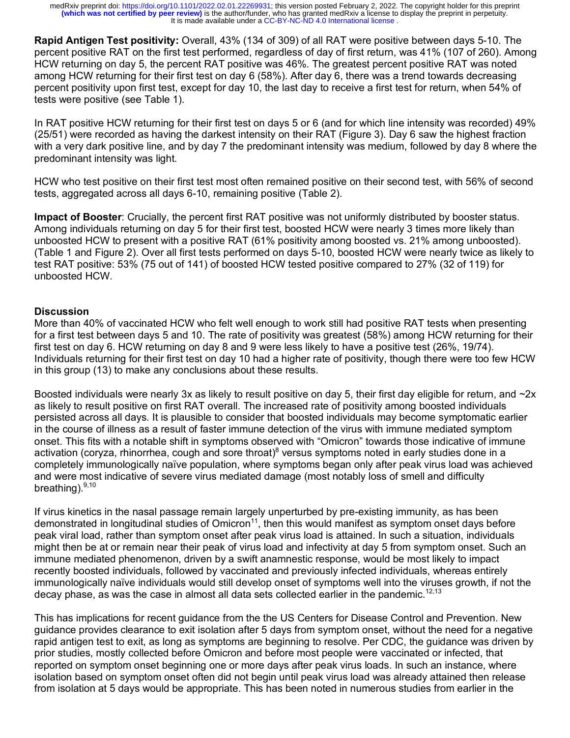**Rapid Antigen Test positivity:** Overall, 43% (134 of 309) of all RAT were positive between days 5-10. The percent positive RAT on the first test performed, regardless of day of first return, was 41% (107 of 260). Among HCW returning on day 5, the percent RAT positive was 46%. The greatest percent positive RAT was noted among HCW returning for their first test on day 6 (58%). After day 6, there was a trend towards decreasing percent positivity upon first test, except for day 10, the last day to receive a first test for return, when 54% of tests were positive (see Table 1).

In RAT positive HCW returning for their first test on days 5 or 6 (and for which line intensity was recorded) 49% (25/51) were recorded as having the darkest intensity on their RAT (Figure 3). Day 6 saw the highest fraction with a very dark positive line, and by day 7 the predominant intensity was medium, followed by day 8 where the predominant intensity was light.

HCW who test positive on their first test most often remained positive on their second test, with 56% of second tests, aggregated across all days 6-10, remaining positive (Table 2).

**Impact of Booster**: Crucially, the percent first RAT positive was not uniformly distributed by booster status. Among individuals returning on day 5 for their first test, boosted HCW were nearly 3 times more likely than unboosted HCW to present with a positive RAT (61% positivity among boosted vs. 21% among unboosted). (Table 1 and Figure 2). Over all first tests performed on days 5-10, boosted HCW were nearly twice as likely to test RAT positive: 53% (75 out of 141) of boosted HCW tested positive compared to 27% (32 of 119) for unboosted HCW.

## **Discussion**

More than 40% of vaccinated HCW who felt well enough to work still had positive RAT tests when presenting for a first test between days 5 and 10. The rate of positivity was greatest (58%) among HCW returning for their first test on day 6. HCW returning on day 8 and 9 were less likely to have a positive test (26%, 19/74). Individuals returning for their first test on day 10 had a higher rate of positivity, though there were too few HCW in this group (13) to make any conclusions about these results.

Boosted individuals were nearly 3x as likely to result positive on day 5, their first day eligible for return, and  $\sim$ 2x as likely to result positive on first RAT overall. The increased rate of positivity among boosted individuals persisted across all days. It is plausible to consider that boosted individuals may become symptomatic earlier in the course of illness as a result of faster immune detection of the virus with immune mediated symptom onset. This fits with a notable shift in symptoms observed with "Omicron" towards those indicative of immune activation (coryza, rhinorrhea, cough and sore throat)<sup>8</sup> versus symptoms noted in early studies done in a completely immunologically naïve population, where symptoms began only after peak virus load was achieved and were most indicative of severe virus mediated damage (most notably loss of smell and difficulty breathing).<sup>9,10</sup>

If virus kinetics in the nasal passage remain largely unperturbed by pre-existing immunity, as has been demonstrated in longitudinal studies of Omicron<sup>11</sup>, then this would manifest as symptom onset days before peak viral load, rather than symptom onset after peak virus load is attained. In such a situation, individuals might then be at or remain near their peak of virus load and infectivity at day 5 from symptom onset. Such an immune mediated phenomenon, driven by a swift anamnestic response, would be most likely to impact recently boosted individuals, followed by vaccinated and previously infected individuals, whereas entirely immunologically naïve individuals would still develop onset of symptoms well into the viruses growth, if not the decay phase, as was the case in almost all data sets collected earlier in the pandemic.<sup>12,13</sup>

This has implications for recent guidance from the the US Centers for Disease Control and Prevention. New guidance provides clearance to exit isolation after 5 days from symptom onset, without the need for a negative rapid antigen test to exit, as long as symptoms are beginning to resolve. Per CDC, the guidance was driven by prior studies, mostly collected before Omicron and before most people were vaccinated or infected, that reported on symptom onset beginning one or more days after peak virus loads. In such an instance, where isolation based on symptom onset often did not begin until peak virus load was already attained then release from isolation at 5 days would be appropriate. This has been noted in numerous studies from earlier in the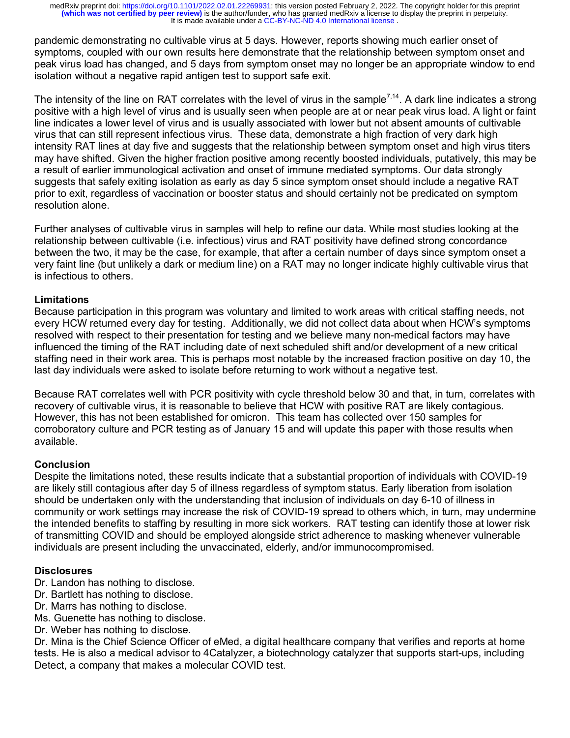pandemic demonstrating no cultivable virus at 5 days. However, reports showing much earlier onset of symptoms, coupled with our own results here demonstrate that the relationship between symptom onset and peak virus load has changed, and 5 days from symptom onset may no longer be an appropriate window to end isolation without a negative rapid antigen test to support safe exit.

The intensity of the line on RAT correlates with the level of virus in the sample<sup>7,14</sup>. A dark line indicates a strong positive with a high level of virus and is usually seen when people are at or near peak virus load. A light or faint line indicates a lower level of virus and is usually associated with lower but not absent amounts of cultivable virus that can still represent infectious virus. These data, demonstrate a high fraction of very dark high intensity RAT lines at day five and suggests that the relationship between symptom onset and high virus titers may have shifted. Given the higher fraction positive among recently boosted individuals, putatively, this may be a result of earlier immunological activation and onset of immune mediated symptoms. Our data strongly suggests that safely exiting isolation as early as day 5 since symptom onset should include a negative RAT prior to exit, regardless of vaccination or booster status and should certainly not be predicated on symptom resolution alone.

Further analyses of cultivable virus in samples will help to refine our data. While most studies looking at the relationship between cultivable (i.e. infectious) virus and RAT positivity have defined strong concordance between the two, it may be the case, for example, that after a certain number of days since symptom onset a very faint line (but unlikely a dark or medium line) on a RAT may no longer indicate highly cultivable virus that is infectious to others.

## **Limitations**

Because participation in this program was voluntary and limited to work areas with critical staffing needs, not every HCW returned every day for testing. Additionally, we did not collect data about when HCW's symptoms resolved with respect to their presentation for testing and we believe many non-medical factors may have influenced the timing of the RAT including date of next scheduled shift and/or development of a new critical staffing need in their work area. This is perhaps most notable by the increased fraction positive on day 10, the last day individuals were asked to isolate before returning to work without a negative test.

Because RAT correlates well with PCR positivity with cycle threshold below 30 and that, in turn, correlates with recovery of cultivable virus, it is reasonable to believe that HCW with positive RAT are likely contagious. However, this has not been established for omicron. This team has collected over 150 samples for corroboratory culture and PCR testing as of January 15 and will update this paper with those results when available.

#### **Conclusion**

Despite the limitations noted, these results indicate that a substantial proportion of individuals with COVID-19 are likely still contagious after day 5 of illness regardless of symptom status. Early liberation from isolation should be undertaken only with the understanding that inclusion of individuals on day 6-10 of illness in community or work settings may increase the risk of COVID-19 spread to others which, in turn, may undermine the intended benefits to staffing by resulting in more sick workers. RAT testing can identify those at lower risk of transmitting COVID and should be employed alongside strict adherence to masking whenever vulnerable individuals are present including the unvaccinated, elderly, and/or immunocompromised.

#### **Disclosures**

- Dr. Landon has nothing to disclose.
- Dr. Bartlett has nothing to disclose.
- Dr. Marrs has nothing to disclose.
- Ms. Guenette has nothing to disclose.
- Dr. Weber has nothing to disclose.

Dr. Mina is the Chief Science Officer of eMed, a digital healthcare company that verifies and reports at home tests. He is also a medical advisor to 4Catalyzer, a biotechnology catalyzer that supports start-ups, including Detect, a company that makes a molecular COVID test.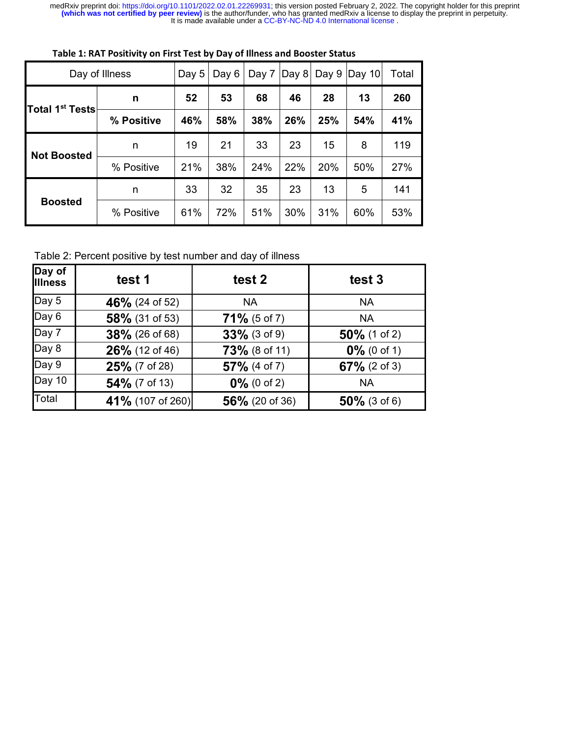It is made available under a [CC-BY-NC-ND 4.0 International license](http://creativecommons.org/licenses/by-nc-nd/4.0/) . medRxiv preprint doi: [https://doi.org/10.1101/2022.02.01.22269931;](https://doi.org/10.1101/2022.02.01.22269931) this version posted February 2, 2022. The copyright holder for this preprint<br>(which was not certified by peer review) is the author/funder, who has granted

| Day of Illness              |            | Day 5 | Day 6 | Day 7 | Day $8$ | Day 9 | Day $10$ | Total |
|-----------------------------|------------|-------|-------|-------|---------|-------|----------|-------|
| Total 1 <sup>st</sup> Tests | n          | 52    | 53    | 68    | 46      | 28    | 13       | 260   |
|                             | % Positive | 46%   | 58%   | 38%   | 26%     | 25%   | 54%      | 41%   |
| <b>Not Boosted</b>          | n          | 19    | 21    | 33    | 23      | 15    | 8        | 119   |
|                             | % Positive | 21%   | 38%   | 24%   | 22%     | 20%   | 50%      | 27%   |
| <b>Boosted</b>              | n          | 33    | 32    | 35    | 23      | 13    | 5        | 141   |
|                             | % Positive | 61%   | 72%   | 51%   | 30%     | 31%   | 60%      | 53%   |

**Table 1: RAT Positivity on First Test by Day of Illness and Booster Status**

Table 2: Percent positive by test number and day of illness

| Day of<br><b>Illness</b> | test 1           | test 2          | test 3          |
|--------------------------|------------------|-----------------|-----------------|
| Day 5                    | 46% (24 of 52)   | <b>NA</b>       | <b>NA</b>       |
| Day 6                    | 58% (31 of 53)   | $71\%$ (5 of 7) | <b>NA</b>       |
| Day 7                    | 38% (26 of 68)   | $33\%$ (3 of 9) | $50\%$ (1 of 2) |
| Day 8                    | 26% (12 of 46)   | 73% (8 of 11)   | $0\%$ (0 of 1)  |
| Day 9                    | 25% (7 of 28)    | $57\%$ (4 of 7) | $67\%$ (2 of 3) |
| Day 10                   | 54% (7 of 13)    | $0\%$ (0 of 2)  | <b>NA</b>       |
| Total                    | 41% (107 of 260) | 56% (20 of 36)  | $50\%$ (3 of 6) |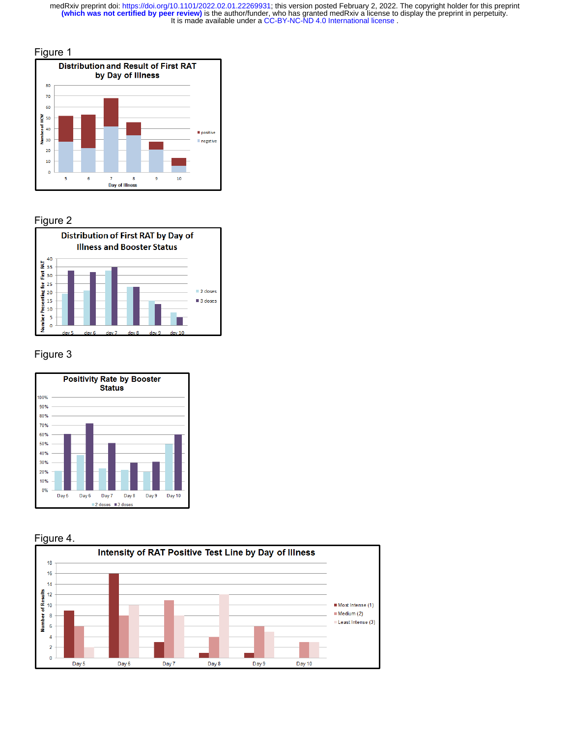It is made available under a [CC-BY-NC-ND 4.0 International license](http://creativecommons.org/licenses/by-nc-nd/4.0/) . medRxiv preprint doi: [https://doi.org/10.1101/2022.02.01.22269931;](https://doi.org/10.1101/2022.02.01.22269931) this version posted February 2, 2022. The copyright holder for this preprint<br>(which was not certified by peer review) is the author/funder, who has granted







## Figure 3